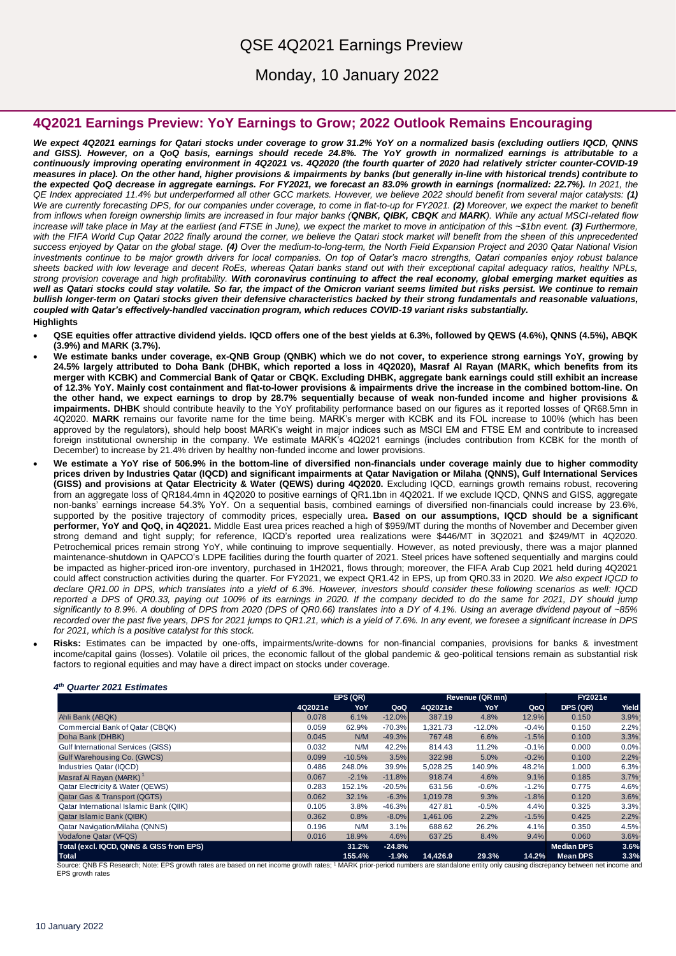## QSE 4Q2021 Earnings Preview

Monday, 10 January 2022

### **4Q2021 Earnings Preview: YoY Earnings to Grow; 2022 Outlook Remains Encouraging**

*We expect 4Q2021 earnings for Qatari stocks under coverage to grow 31.2% YoY on a normalized basis (excluding outliers IQCD, QNNS and GISS). However, on a QoQ basis, earnings should recede 24.8%. The YoY growth in normalized earnings is attributable to a continuously improving operating environment in 4Q2021 vs. 4Q2020 (the fourth quarter of 2020 had relatively stricter counter-COVID-19 measures in place). On the other hand, higher provisions & impairments by banks (but generally in-line with historical trends) contribute to the expected QoQ decrease in aggregate earnings. For FY2021, we forecast an 83.0% growth in earnings (normalized: 22.7%). In 2021, the QE Index appreciated 11.4% but underperformed all other GCC markets. However, we believe 2022 should benefit from several major catalysts: (1) We are currently forecasting DPS, for our companies under coverage, to come in flat-to-up for FY2021. (2) Moreover, we expect the market to benefit from inflows when foreign ownership limits are increased in four major banks (QNBK, QIBK, CBQK and MARK). While any actual MSCI-related flow increase will take place in May at the earliest (and FTSE in June), we expect the market to move in anticipation of this ~\$1bn event. (3) Furthermore,* with the FIFA World Cup Qatar 2022 finally around the corner, we believe the Qatari stock market will benefit from the sheen of this unprecedented *success enjoyed by Qatar on the global stage. (4) Over the medium-to-long-term, the North Field Expansion Project and 2030 Qatar National Vision investments continue to be major growth drivers for local companies. On top of Qatar's macro strengths, Qatari companies enjoy robust balance sheets backed with low leverage and decent RoEs, whereas Qatari banks stand out with their exceptional capital adequacy ratios, healthy NPLs, strong provision coverage and high profitability. With coronavirus continuing to affect the real economy, global emerging market equities as well as Qatari stocks could stay volatile. So far, the impact of the Omicron variant seems limited but risks persist. We continue to remain bullish longer-term on Qatari stocks given their defensive characteristics backed by their strong fundamentals and reasonable valuations, coupled with Qatar's effectively-handled vaccination program, which reduces COVID-19 variant risks substantially.*  **Highlights**

- **QSE equities offer attractive dividend yields. IQCD offers one of the best yields at 6.3%, followed by QEWS (4.6%), QNNS (4.5%), ABQK (3.9%) and MARK (3.7%).**
- **We estimate banks under coverage, ex-QNB Group (QNBK) which we do not cover, to experience strong earnings YoY, growing by 24.5% largely attributed to Doha Bank (DHBK, which reported a loss in 4Q2020), Masraf Al Rayan (MARK, which benefits from its merger with KCBK) and Commercial Bank of Qatar or CBQK. Excluding DHBK, aggregate bank earnings could still exhibit an increase of 12.3% YoY. Mainly cost containment and flat-to-lower provisions & impairments drive the increase in the combined bottom-line. On the other hand, we expect earnings to drop by 28.7% sequentially because of weak non-funded income and higher provisions & impairments. DHBK** should contribute heavily to the YoY profitability performance based on our figures as it reported losses of QR68.5mn in 4Q2020. **MARK** remains our favorite name for the time being. MARK's merger with KCBK and its FOL increase to 100% (which has been approved by the regulators), should help boost MARK's weight in major indices such as MSCI EM and FTSE EM and contribute to increased foreign institutional ownership in the company. We estimate MARK's 4Q2021 earnings (includes contribution from KCBK for the month of December) to increase by 21.4% driven by healthy non-funded income and lower provisions.
- **We estimate a YoY rise of 506.9% in the bottom-line of diversified non-financials under coverage mainly due to higher commodity prices driven by Industries Qatar (IQCD) and significant impairments at Qatar Navigation or Milaha (QNNS), Gulf International Services (GISS) and provisions at Qatar Electricity & Water (QEWS) during 4Q2020.** Excluding IQCD, earnings growth remains robust, recovering from an aggregate loss of QR184.4mn in 4Q2020 to positive earnings of QR1.1bn in 4Q2021. If we exclude IQCD, QNNS and GISS, aggregate non-banks' earnings increase 54.3% YoY. On a sequential basis, combined earnings of diversified non-financials could increase by 23.6%, supported by the positive trajectory of commodity prices, especially urea**. Based on our assumptions, IQCD should be a significant performer, YoY and QoQ, in 4Q2021.** Middle East urea prices reached a high of \$959/MT during the months of November and December given strong demand and tight supply; for reference, IQCD's reported urea realizations were \$446/MT in 3Q2021 and \$249/MT in 4Q2020. Petrochemical prices remain strong YoY, while continuing to improve sequentially. However, as noted previously, there was a major planned maintenance-shutdown in QAPCO's LDPE facilities during the fourth quarter of 2021. Steel prices have softened sequentially and margins could be impacted as higher-priced iron-ore inventory, purchased in 1H2021, flows through; moreover, the FIFA Arab Cup 2021 held during 4Q2021 could affect construction activities during the quarter. For FY2021, we expect QR1.42 in EPS, up from QR0.33 in 2020. *We also expect IQCD to declare QR1.00 in DPS, which translates into a yield of 6.3%. However, investors should consider these following scenarios as well: IQCD reported a DPS of QR0.33, paying out 100% of its earnings in 2020. If the company decided to do the same for 2021, DY should jump significantly to 8.9%. A doubling of DPS from 2020 (DPS of QR0.66) translates into a DY of 4.1%. Using an average dividend payout of ~85% recorded over the past five years, DPS for 2021 jumps to QR1.21, which is a yield of 7.6%. In any event, we foresee a significant increase in DPS for 2021, which is a positive catalyst for this stock.*
- **Risks:** Estimates can be impacted by one-offs, impairments/write-downs for non-financial companies, provisions for banks & investment income/capital gains (losses). Volatile oil prices, the economic fallout of the global pandemic & geo-political tensions remain as substantial risk factors to regional equities and may have a direct impact on stocks under coverage.

#### *4 th Quarter 2021 Estimates*

|                                             | EPS(QR) |          |          | Revenue (QR mn) |          |         | <b>FY2021e</b>    |       |
|---------------------------------------------|---------|----------|----------|-----------------|----------|---------|-------------------|-------|
|                                             | 4Q2021e | YoY      | QoQ      | 4Q2021e         | YoY      | QoQ     | DPS (QR)          | Yield |
| Ahli Bank (ABQK)                            | 0.078   | 6.1%     | $-12.0%$ | 387.19          | 4.8%     | 12.9%   | 0.150             | 3.9%  |
| Commercial Bank of Qatar (CBQK)             | 0.059   | 62.9%    | $-70.3%$ | 1,321.73        | $-12.0%$ | $-0.4%$ | 0.150             | 2.2%  |
| Doha Bank (DHBK)                            | 0.045   | N/M      | $-49.3%$ | 767.48          | 6.6%     | $-1.5%$ | 0.100             | 3.3%  |
| <b>Gulf International Services (GISS)</b>   | 0.032   | N/M      | 42.2%    | 814.43          | 11.2%    | $-0.1%$ | 0.000             | 0.0%  |
| Gulf Warehousing Co. (GWCS)                 | 0.099   | $-10.5%$ | 3.5%     | 322.98          | 5.0%     | $-0.2%$ | 0.100             | 2.2%  |
| Industries Qatar (IQCD)                     | 0.486   | 248.0%   | 39.9%    | 5,028.25        | 140.9%   | 48.2%   | 1.000             | 6.3%  |
| Masraf Al Ravan (MARK) <sup>1</sup>         | 0.067   | $-2.1%$  | $-11.8%$ | 918.74          | 4.6%     | 9.1%    | 0.185             | 3.7%  |
| <b>Qatar Electricity &amp; Water (QEWS)</b> | 0.283   | 152.1%   | $-20.5%$ | 631.56          | $-0.6%$  | $-1.2%$ | 0.775             | 4.6%  |
| <b>Qatar Gas &amp; Transport (QGTS)</b>     | 0.062   | 32.1%    | $-6.3%$  | 1,019.78        | 9.3%     | $-1.8%$ | 0.120             | 3.6%  |
| Qatar International Islamic Bank (QIIK)     | 0.105   | 3.8%     | $-46.3%$ | 427.81          | $-0.5%$  | 4.4%    | 0.325             | 3.3%  |
| <b>Qatar Islamic Bank (QIBK)</b>            | 0.362   | 0.8%     | $-8.0%$  | 1,461.06        | 2.2%     | $-1.5%$ | 0.425             | 2.2%  |
| <b>Qatar Navigation/Milaha (QNNS)</b>       | 0.196   | N/M      | 3.1%     | 688.62          | 26.2%    | 4.1%    | 0.350             | 4.5%  |
| Vodafone Qatar (VFQS)                       | 0.016   | 18.9%    | 4.6%     | 637.25          | 8.4%     | 9.4%    | 0.060             | 3.6%  |
| Total (excl. IQCD, QNNS & GISS from EPS)    |         | 31.2%    | $-24.8%$ |                 |          |         | <b>Median DPS</b> | 3.6%  |
| <b>Total</b>                                |         | 155.4%   | $-1.9%$  | 14,426.9        | 29.3%    | 14.2%   | Mean DPS          | 3.3%  |

Source: QNB FS Research; Note: EPS growth rates are based on net income growth rates: <sup>1</sup> MARK prior-period numbers are standalone entity only causing discrepancy between net income and EPS growth rates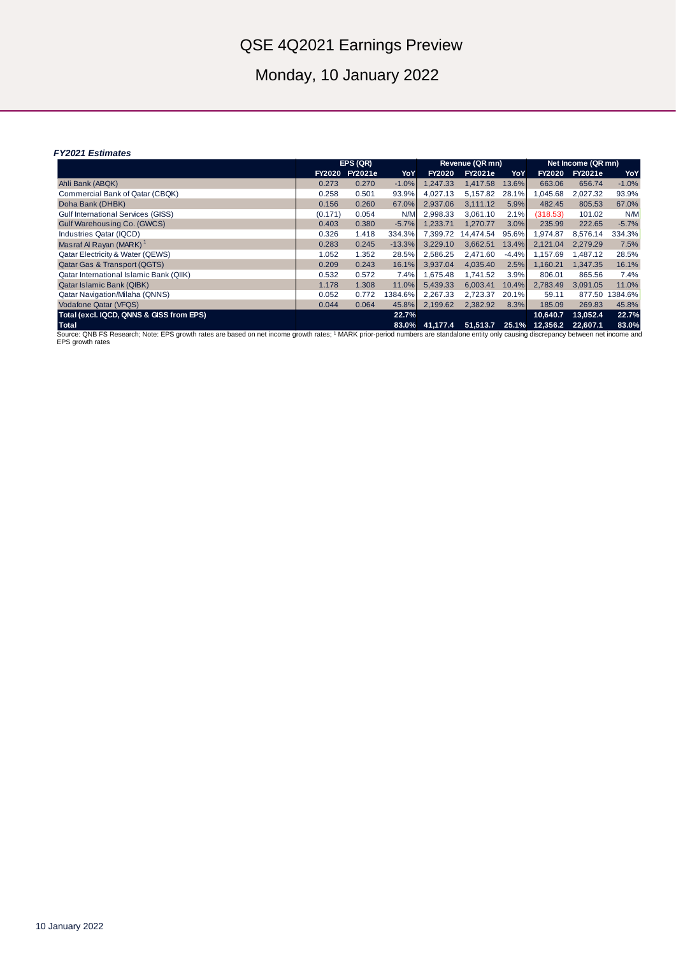# QSE 4Q2021 Earnings Preview

Monday, 10 January 2022

#### *FY2021 Estimates*

|                                                                                                                                                                                         | EPS(QR)       |                |          | Revenue (QR mn) |                |         | Net Income (QR mn) |                |         |
|-----------------------------------------------------------------------------------------------------------------------------------------------------------------------------------------|---------------|----------------|----------|-----------------|----------------|---------|--------------------|----------------|---------|
|                                                                                                                                                                                         | <b>FY2020</b> | <b>FY2021e</b> | YoY      | <b>FY2020</b>   | <b>FY2021e</b> | YoY     | <b>FY2020</b>      | <b>FY2021e</b> | YoY     |
| Ahli Bank (ABQK)                                                                                                                                                                        | 0.273         | 0.270          | $-1.0%$  | .247.33         | 1,417.58       | 13.6%   | 663.06             | 656.74         | $-1.0%$ |
| Commercial Bank of Qatar (CBQK)                                                                                                                                                         | 0.258         | 0.501          | 93.9%    | 4.027.13        | 5,157.82       | 28.1%   | 1,045.68           | 2,027.32       | 93.9%   |
| Doha Bank (DHBK)                                                                                                                                                                        | 0.156         | 0.260          | 67.0%    | 2,937.06        | 3,111.12       | 5.9%    | 482.45             | 805.53         | 67.0%   |
| <b>Gulf International Services (GISS)</b>                                                                                                                                               | (0.171)       | 0.054          | N/M      | 2.998.33        | 3.061.10       | 2.1%    | (318.53)           | 101.02         | N/M     |
| Gulf Warehousing Co. (GWCS)                                                                                                                                                             | 0.403         | 0.380          | $-5.7%$  | 1.233.71        | 1.270.77       | 3.0%    | 235.99             | 222.65         | $-5.7%$ |
| Industries Qatar (IQCD)                                                                                                                                                                 | 0.326         | 1.418          | 334.3%   | 7,399.72        | 14.474.54      | 95.6%   | 1.974.87           | 8.576.14       | 334.3%  |
| Masraf Al Ravan (MARK) <sup>1</sup>                                                                                                                                                     | 0.283         | 0.245          | $-13.3%$ | 3,229.10        | 3,662.51       | 13.4%   | 2,121.04           | 2,279.29       | 7.5%    |
| <b>Qatar Electricity &amp; Water (QEWS)</b>                                                                                                                                             | 1.052         | 1.352          | 28.5%    | 2,586.25        | 2,471.60       | $-4.4%$ | 1,157.69           | 1,487.12       | 28.5%   |
| <b>Qatar Gas &amp; Transport (QGTS)</b>                                                                                                                                                 | 0.209         | 0.243          | 16.1%    | 3.937.04        | 4.035.40       | 2.5%    | 1.160.21           | 1.347.35       | 16.1%   |
| Qatar International Islamic Bank (QIIK)                                                                                                                                                 | 0.532         | 0.572          | 7.4%     | 1,675.48        | 1.741.52       | 3.9%    | 806.01             | 865.56         | 7.4%    |
| Qatar Islamic Bank (QIBK)                                                                                                                                                               | 1.178         | 1.308          | 11.0%    | 5,439.33        | 6,003.41       | 10.4%   | 2,783.49           | 3,091.05       | 11.0%   |
| <b>Qatar Navigation/Milaha (QNNS)</b>                                                                                                                                                   | 0.052         | 0.772          | 1384.6%  | 2,267.33        | 2,723.37       | 20.1%   | 59.11              | 877.50         | 1384.6% |
| <b>Vodafone Qatar (VFQS)</b>                                                                                                                                                            | 0.044         | 0.064          | 45.8%    | 2,199.62        | 2,382.92       | 8.3%    | 185.09             | 269.83         | 45.8%   |
| Total (excl. IQCD, QNNS & GISS from EPS)                                                                                                                                                |               |                | 22.7%    |                 |                |         | 10.640.7           | 13.052.4       | 22.7%   |
| <b>Total</b>                                                                                                                                                                            |               |                | 83.0%    | 41.177.4        | 51.513.7       | 25.1%   | 12.356.2           | 22.607.1       | 83.0%   |
| Source: ONB FS Research: Note: EPS growth rates are based on net income growth rates: 1 MARK prior-period numbers are standalone entity only causing discrepancy between net income and |               |                |          |                 |                |         |                    |                |         |

Source: QNB FS Research; Note: EPS growth rates are based on net income growth rates; 1 MARK prior-period numbers are standalone entity only causing discrepancy between net income and Source, QNB FS P